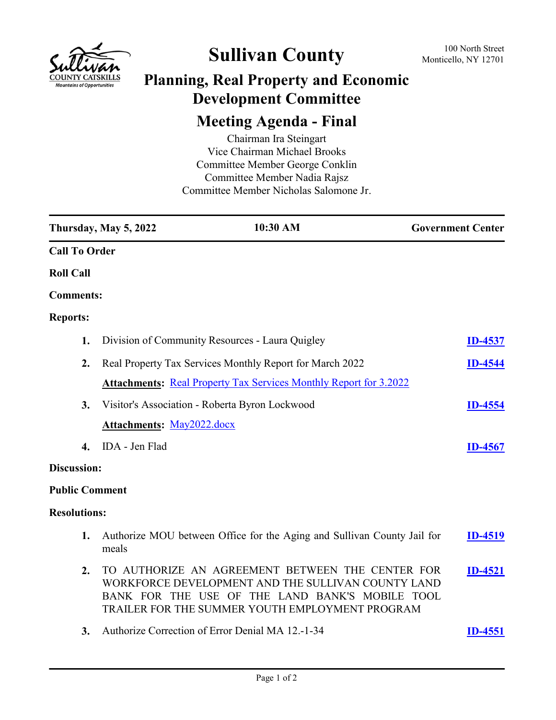

## **Sullivan County** 100 North Street 100 North Street

## **Planning, Real Property and Economic Development Committee**

## **Meeting Agenda - Final**

Chairman Ira Steingart Vice Chairman Michael Brooks Committee Member George Conklin Committee Member Nadia Rajsz Committee Member Nicholas Salomone Jr.

|                       | Thursday, May 5, 2022                                                                                                                                                                                        | 10:30 AM                                                                 | <b>Government Center</b> |
|-----------------------|--------------------------------------------------------------------------------------------------------------------------------------------------------------------------------------------------------------|--------------------------------------------------------------------------|--------------------------|
| <b>Call To Order</b>  |                                                                                                                                                                                                              |                                                                          |                          |
| <b>Roll Call</b>      |                                                                                                                                                                                                              |                                                                          |                          |
| <b>Comments:</b>      |                                                                                                                                                                                                              |                                                                          |                          |
| <b>Reports:</b>       |                                                                                                                                                                                                              |                                                                          |                          |
| 1.                    |                                                                                                                                                                                                              | Division of Community Resources - Laura Quigley                          | <b>ID-4537</b>           |
| 2.                    |                                                                                                                                                                                                              | Real Property Tax Services Monthly Report for March 2022                 | <b>ID-4544</b>           |
|                       |                                                                                                                                                                                                              | <b>Attachments: Real Property Tax Services Monthly Report for 3.2022</b> |                          |
| 3.                    |                                                                                                                                                                                                              | Visitor's Association - Roberta Byron Lockwood                           | <b>ID-4554</b>           |
|                       | <b>Attachments: May2022.docx</b>                                                                                                                                                                             |                                                                          |                          |
| 4.                    | IDA - Jen Flad                                                                                                                                                                                               |                                                                          | <b>ID-4567</b>           |
| Discussion:           |                                                                                                                                                                                                              |                                                                          |                          |
| <b>Public Comment</b> |                                                                                                                                                                                                              |                                                                          |                          |
| <b>Resolutions:</b>   |                                                                                                                                                                                                              |                                                                          |                          |
| 1.                    | meals                                                                                                                                                                                                        | Authorize MOU between Office for the Aging and Sullivan County Jail for  | <b>ID-4519</b>           |
| 2.                    | TO AUTHORIZE AN AGREEMENT BETWEEN THE CENTER FOR<br>WORKFORCE DEVELOPMENT AND THE SULLIVAN COUNTY LAND<br>BANK FOR THE USE OF THE LAND BANK'S MOBILE TOOL<br>TRAILER FOR THE SUMMER YOUTH EMPLOYMENT PROGRAM |                                                                          | <b>ID-4521</b>           |
| 3.                    |                                                                                                                                                                                                              | Authorize Correction of Error Denial MA 12.-1-34                         | <b>ID-4551</b>           |
|                       |                                                                                                                                                                                                              |                                                                          |                          |